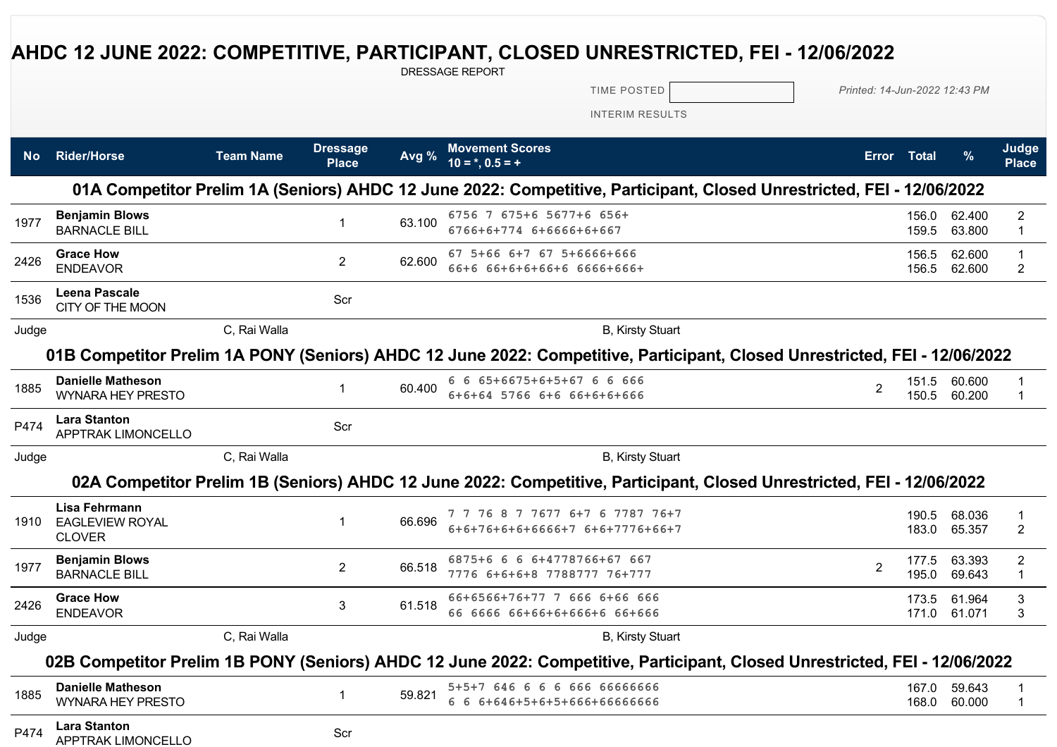## **AHDC 12 JUNE 2022: COMPETITIVE, PARTICIPANT, CLOSED UNRESTRICTED, FEI - 12/06/2022**

DRESSAGE REPORT

TIME POSTED *Printed: 14-Jun-2022 12:43 PM*

INTERIM RESULTS

| No.   | <b>Rider/Horse</b>                                       | <b>Team Name</b> | <b>Dressage</b><br><b>Place</b> | Avg %  | <b>Movement Scores</b><br>$10 =$ *, 0.5 = +                                                                                | <b>Error</b>   | Total          | %                      | Judge<br><b>Place</b>          |
|-------|----------------------------------------------------------|------------------|---------------------------------|--------|----------------------------------------------------------------------------------------------------------------------------|----------------|----------------|------------------------|--------------------------------|
|       |                                                          |                  |                                 |        | 01A Competitor Prelim 1A (Seniors) AHDC 12 June 2022: Competitive, Participant, Closed Unrestricted, FEI - 12/06/2022      |                |                |                        |                                |
| 1977  | <b>Benjamin Blows</b><br><b>BARNACLE BILL</b>            |                  | $\mathbf 1$                     | 63.100 | 6756 7 675+6 5677+6 656+<br>6766+6+774 6+6666+6+667                                                                        |                | 159.5          | 156.0 62.400<br>63.800 | $\overline{c}$<br>$\mathbf{1}$ |
| 2426  | <b>Grace How</b><br><b>ENDEAVOR</b>                      |                  | $\overline{2}$                  | 62.600 | 67 5+66 6+7 67 5+6666+666<br>66+6 66+6+6+66+6 6666+666+                                                                    |                | 156.5<br>156.5 | 62.600<br>62.600       | 1<br>2                         |
| 1536  | <b>Leena Pascale</b><br>CITY OF THE MOON                 |                  | Scr                             |        |                                                                                                                            |                |                |                        |                                |
| Judge |                                                          | C, Rai Walla     |                                 |        | <b>B, Kirsty Stuart</b>                                                                                                    |                |                |                        |                                |
|       |                                                          |                  |                                 |        | 01B Competitor Prelim 1A PONY (Seniors) AHDC 12 June 2022: Competitive, Participant, Closed Unrestricted, FEI - 12/06/2022 |                |                |                        |                                |
| 1885  | <b>Danielle Matheson</b><br><b>WYNARA HEY PRESTO</b>     |                  |                                 | 60.400 | 6 6 65+6675+6+5+67 6 6 666<br>6+6+64 5766 6+6 66+6+6+666                                                                   | $\mathcal{P}$  | 151.5          | 60.600<br>150.5 60.200 |                                |
| P474  | <b>Lara Stanton</b><br><b>APPTRAK LIMONCELLO</b>         |                  | Scr                             |        |                                                                                                                            |                |                |                        |                                |
| Judge |                                                          | C, Rai Walla     |                                 |        | <b>B, Kirsty Stuart</b>                                                                                                    |                |                |                        |                                |
|       |                                                          |                  |                                 |        | 02A Competitor Prelim 1B (Seniors) AHDC 12 June 2022: Competitive, Participant, Closed Unrestricted, FEI - 12/06/2022      |                |                |                        |                                |
| 1910  | Lisa Fehrmann<br><b>EAGLEVIEW ROYAL</b><br><b>CLOVER</b> |                  | 1                               | 66.696 | 7 7 76 8 7 7677 6+7 6 7787 76+7<br>6+6+76+6+6+6666+7 6+6+7776+66+7                                                         |                | 190.5<br>183.0 | 68.036<br>65.357       | 2                              |
| 1977  | <b>Benjamin Blows</b><br><b>BARNACLE BILL</b>            |                  | $\overline{2}$                  | 66.518 | 6875+6 6 6 6+4778766+67 667<br>7776 6+6+6+8 7788777 76+777                                                                 | $\mathfrak{p}$ | 177.5<br>195.0 | 63.393<br>69.643       | $\overline{c}$<br>$\mathbf{1}$ |
| 2426  | <b>Grace How</b><br><b>ENDEAVOR</b>                      |                  | 3                               | 61.518 | 66+6566+76+77 7 666 6+66 666<br>66 6666 66+66+6+666+6 66+666                                                               |                | 173.5<br>171.0 | 61.964<br>61.071       | 3<br>3                         |
| Judge |                                                          | C, Rai Walla     |                                 |        | <b>B, Kirsty Stuart</b>                                                                                                    |                |                |                        |                                |
|       |                                                          |                  |                                 |        | 02B Competitor Prelim 1B PONY (Seniors) AHDC 12 June 2022: Competitive, Participant, Closed Unrestricted, FEI - 12/06/2022 |                |                |                        |                                |
| 1885  | <b>Danielle Matheson</b><br><b>WYNARA HEY PRESTO</b>     |                  |                                 | 59.821 | 5+5+7 646 6 6 6 666 66666666<br>6 6 6+646+5+6+5+666+66666666                                                               |                | 167.0          | 59.643<br>168.0 60.000 | $\mathbf 1$                    |
| P474  | <b>Lara Stanton</b><br><b>APPTRAK LIMONCELLO</b>         |                  | Scr                             |        |                                                                                                                            |                |                |                        |                                |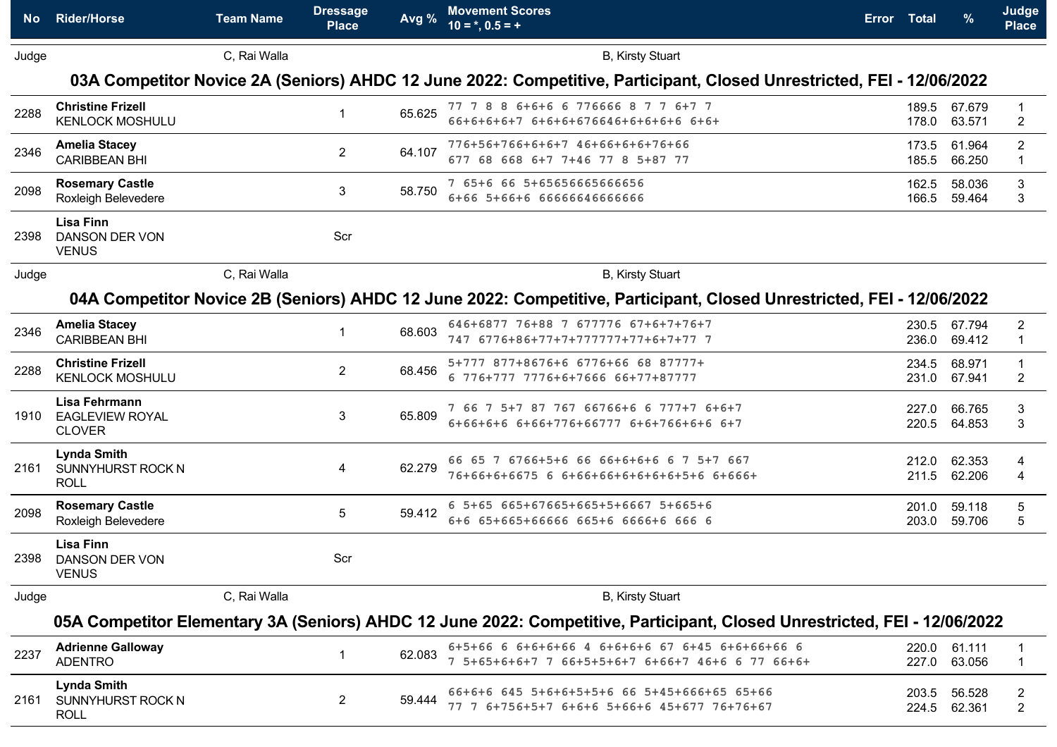| No.   | <b>Rider/Horse</b>                                        | <b>Team Name</b> | <b>Dressage</b><br><b>Place</b> | Avg %  | <b>Movement Scores</b><br>$10 = *, 0.5 = +$                                                                               | Error Total |                | %                | Judge<br><b>Place</b>         |
|-------|-----------------------------------------------------------|------------------|---------------------------------|--------|---------------------------------------------------------------------------------------------------------------------------|-------------|----------------|------------------|-------------------------------|
| Judge |                                                           | C, Rai Walla     |                                 |        | <b>B.</b> Kirsty Stuart                                                                                                   |             |                |                  |                               |
|       |                                                           |                  |                                 |        | 03A Competitor Novice 2A (Seniors) AHDC 12 June 2022: Competitive, Participant, Closed Unrestricted, FEI - 12/06/2022     |             |                |                  |                               |
| 2288  | <b>Christine Frizell</b><br><b>KENLOCK MOSHULU</b>        |                  |                                 | 65.625 | 77 7 8 8 6+6+6 6 776666 8 7 7 6+7 7<br>66+6+6+6+7 6+6+6+676646+6+6+6+6 6+6+                                               |             | 189.5<br>178.0 | 67.679<br>63.571 | $\overline{2}$                |
| 2346  | <b>Amelia Stacey</b><br><b>CARIBBEAN BHI</b>              |                  | $\overline{2}$                  | 64.107 | 776+56+766+6+6+7 46+66+6+6+76+66<br>677 68 668 6+7 7+46 77 8 5+87 77                                                      |             | 173.5<br>185.5 | 61.964<br>66.250 | $\overline{c}$<br>$\mathbf 1$ |
| 2098  | <b>Rosemary Castle</b><br>Roxleigh Belevedere             |                  | 3                               | 58.750 | 7 65+6 66 5+6565666566656<br>6+66 5+66+6 66666646666666                                                                   |             | 162.5<br>166.5 | 58.036<br>59.464 | 3<br>3                        |
| 2398  | <b>Lisa Finn</b><br><b>DANSON DER VON</b><br><b>VENUS</b> |                  | Scr                             |        |                                                                                                                           |             |                |                  |                               |
| Judge |                                                           | C, Rai Walla     |                                 |        | <b>B, Kirsty Stuart</b>                                                                                                   |             |                |                  |                               |
|       |                                                           |                  |                                 |        | 04A Competitor Novice 2B (Seniors) AHDC 12 June 2022: Competitive, Participant, Closed Unrestricted, FEI - 12/06/2022     |             |                |                  |                               |
| 2346  | <b>Amelia Stacey</b><br><b>CARIBBEAN BHI</b>              |                  |                                 | 68.603 | 646+6877 76+88 7 677776 67+6+7+76+7<br>747 6776+86+77+7+777777+77+6+7+77 7                                                |             | 230.5<br>236.0 | 67.794<br>69.412 | 2<br>$\mathbf 1$              |
| 2288  | <b>Christine Frizell</b><br><b>KENLOCK MOSHULU</b>        |                  | $\overline{2}$                  | 68.456 | 5+777 877+8676+6 6776+66 68 87777+<br>6 776+777 7776+6+7666 66+77+87777                                                   |             | 234.5<br>231.0 | 68.971<br>67.941 | $\overline{c}$                |
| 1910  | Lisa Fehrmann<br><b>EAGLEVIEW ROYAL</b><br><b>CLOVER</b>  |                  | 3                               | 65.809 | 7 66 7 5+7 87 767 66766+6 6 777+7 6+6+7<br>6+66+6+6 6+66+776+66777 6+6+766+6+6 6+7                                        |             | 227.0<br>220.5 | 66.765<br>64.853 | 3<br>3                        |
| 2161  | <b>Lynda Smith</b><br>SUNNYHURST ROCK N<br><b>ROLL</b>    |                  | 4                               | 62.279 | 66 65 7 6766+5+6 66 66+6+6+6 6 7 5+7 667<br>76+66+6+6675 6 6+66+66+6+6+6+6+5+6 6+666+                                     |             | 212.0<br>211.5 | 62.353<br>62.206 | 4                             |
| 2098  | <b>Rosemary Castle</b><br>Roxleigh Belevedere             |                  | 5                               | 59.412 | 6 5+65 665+67665+665+5+6667 5+665+6<br>6+6 65+665+66666 665+6 6666+6 666 6                                                |             | 201.0<br>203.0 | 59.118<br>59.706 | 5<br>5                        |
| 2398  | <b>Lisa Finn</b><br><b>DANSON DER VON</b><br><b>VENUS</b> |                  | Scr                             |        |                                                                                                                           |             |                |                  |                               |
| Judge |                                                           | C, Rai Walla     |                                 |        | <b>B.</b> Kirsty Stuart                                                                                                   |             |                |                  |                               |
|       |                                                           |                  |                                 |        | 05A Competitor Elementary 3A (Seniors) AHDC 12 June 2022: Competitive, Participant, Closed Unrestricted, FEI - 12/06/2022 |             |                |                  |                               |
| 2237  | <b>Adrienne Galloway</b><br><b>ADENTRO</b>                |                  |                                 | 62.083 | 6+5+66 6 6+6+6+66 4 6+6+6+6 67 6+45 6+6+66+66 6<br>7 5+65+6+6+7 7 66+5+5+6+7 6+66+7 46+6 6 77 66+6+                       |             | 220.0<br>227.0 | 61.111<br>63.056 |                               |
| 2161  | <b>Lynda Smith</b><br>SUNNYHURST ROCK N<br><b>ROLL</b>    |                  | $\overline{2}$                  | 59.444 | 66+6+6 645 5+6+6+5+5+6 66 5+45+666+65 65+66<br>77 7 6+756+5+7 6+6+6 5+66+6 45+677 76+76+67                                |             | 203.5<br>224.5 | 56.528<br>62.361 | 2<br>$\overline{c}$           |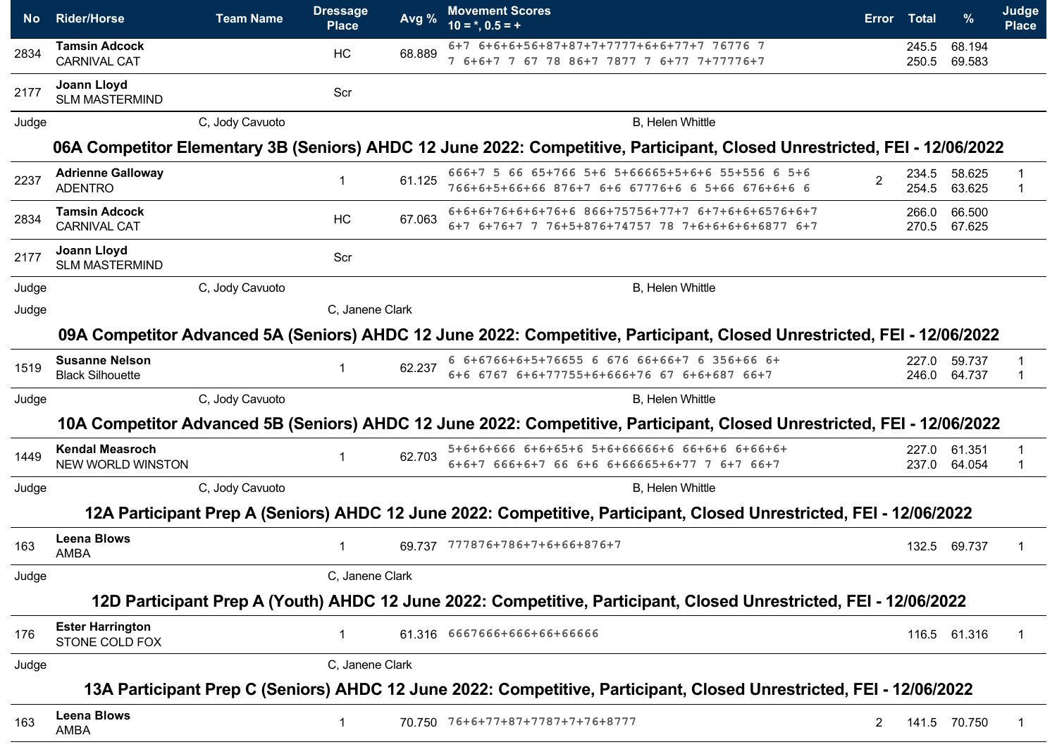| No.   | <b>Rider/Horse</b>                               | <b>Team Name</b> | <b>Dressage</b><br><b>Place</b> | Avg %  | <b>Movement Scores</b><br>$10 = *, 0.5 = +$                                                                               | <b>Error</b> | Total          | %                | Judge<br><b>Place</b> |
|-------|--------------------------------------------------|------------------|---------------------------------|--------|---------------------------------------------------------------------------------------------------------------------------|--------------|----------------|------------------|-----------------------|
| 2834  | <b>Tamsin Adcock</b><br><b>CARNIVAL CAT</b>      |                  | HC                              | 68.889 | 6+7 6+6+6+56+87+87+7+7777+6+6+77+7 76776 7<br>7 6+6+7 7 67 78 86+7 7877 7 6+77 7+77776+7                                  |              | 245.5<br>250.5 | 68.194<br>69.583 |                       |
| 2177  | <b>Joann Lloyd</b><br><b>SLM MASTERMIND</b>      |                  | Scr                             |        |                                                                                                                           |              |                |                  |                       |
| Judge |                                                  | C, Jody Cavuoto  |                                 |        | B, Helen Whittle                                                                                                          |              |                |                  |                       |
|       |                                                  |                  |                                 |        | 06A Competitor Elementary 3B (Seniors) AHDC 12 June 2022: Competitive, Participant, Closed Unrestricted, FEI - 12/06/2022 |              |                |                  |                       |
| 2237  | <b>Adrienne Galloway</b><br><b>ADENTRO</b>       |                  |                                 | 61.125 | 666+7 5 66 65+766 5+6 5+66665+5+6+6 55+556 6 5+6<br>766+6+5+66+66 876+7 6+6 67776+6 6 5+66 676+6+6 6                      |              | 234.5<br>254.5 | 58.625<br>63.625 |                       |
| 2834  | <b>Tamsin Adcock</b><br><b>CARNIVAL CAT</b>      |                  | HC                              | 67.063 | 6+6+6+76+6+6+76+6 866+75756+77+7 6+7+6+6+6576+6+7<br>6+7 6+76+7 7 76+5+876+74757 78 7+6+6+6+6+6877 6+7                    |              | 266.0<br>270.5 | 66.500<br>67.625 |                       |
| 2177  | Joann Lloyd<br><b>SLM MASTERMIND</b>             |                  | Scr                             |        |                                                                                                                           |              |                |                  |                       |
| Judge |                                                  | C, Jody Cavuoto  |                                 |        | <b>B.</b> Helen Whittle                                                                                                   |              |                |                  |                       |
| Judge |                                                  |                  | C, Janene Clark                 |        |                                                                                                                           |              |                |                  |                       |
|       |                                                  |                  |                                 |        | 09A Competitor Advanced 5A (Seniors) AHDC 12 June 2022: Competitive, Participant, Closed Unrestricted, FEI - 12/06/2022   |              |                |                  |                       |
| 1519  | <b>Susanne Nelson</b><br><b>Black Silhouette</b> |                  |                                 | 62.237 | 6 6+6766+6+5+76655 6 676 66+66+7 6 356+66 6+<br>6+6 6767 6+6+77755+6+666+76 67 6+6+687 66+7                               |              | 227.0<br>246.0 | 59.737<br>64.737 |                       |
| Judge |                                                  | C, Jody Cavuoto  |                                 |        | B, Helen Whittle                                                                                                          |              |                |                  |                       |
|       |                                                  |                  |                                 |        | 10A Competitor Advanced 5B (Seniors) AHDC 12 June 2022: Competitive, Participant, Closed Unrestricted, FEI - 12/06/2022   |              |                |                  |                       |
| 1449  | <b>Kendal Measroch</b><br>NEW WORLD WINSTON      |                  | 1                               | 62.703 | 5+6+6+666 6+6+65+6 5+6+66666+6 66+6+6 6+66+6+<br>6+6+7 666+6+7 66 6+6 6+66665+6+77 7 6+7 66+7                             |              | 227.0<br>237.0 | 61.351<br>64.054 |                       |
| Judge |                                                  | C, Jody Cavuoto  |                                 |        | <b>B.</b> Helen Whittle                                                                                                   |              |                |                  |                       |
|       |                                                  |                  |                                 |        | 12A Participant Prep A (Seniors) AHDC 12 June 2022: Competitive, Participant, Closed Unrestricted, FEI - 12/06/2022       |              |                |                  |                       |
| 163   | <b>Leena Blows</b><br>AMBA                       |                  | 1                               |        | 69.737 777876+786+7+6+66+876+7                                                                                            |              | 132.5          | 69.737           |                       |
| Judge |                                                  |                  | C, Janene Clark                 |        |                                                                                                                           |              |                |                  |                       |
|       |                                                  |                  |                                 |        | 12D Participant Prep A (Youth) AHDC 12 June 2022: Competitive, Participant, Closed Unrestricted, FEI - 12/06/2022         |              |                |                  |                       |
| 176   | <b>Ester Harrington</b><br>STONE COLD FOX        |                  | 1                               |        | 61.316 6667666+666+66+66666                                                                                               |              |                | 116.5 61.316     | -1                    |
| Judge |                                                  |                  | C, Janene Clark                 |        |                                                                                                                           |              |                |                  |                       |
|       |                                                  |                  |                                 |        | 13A Participant Prep C (Seniors) AHDC 12 June 2022: Competitive, Participant, Closed Unrestricted, FEI - 12/06/2022       |              |                |                  |                       |
| 163   | <b>Leena Blows</b><br>AMBA                       |                  | 1                               |        | 70.750 76+6+77+87+7787+7+76+8777                                                                                          | 2            |                | 141.5 70.750     | -1                    |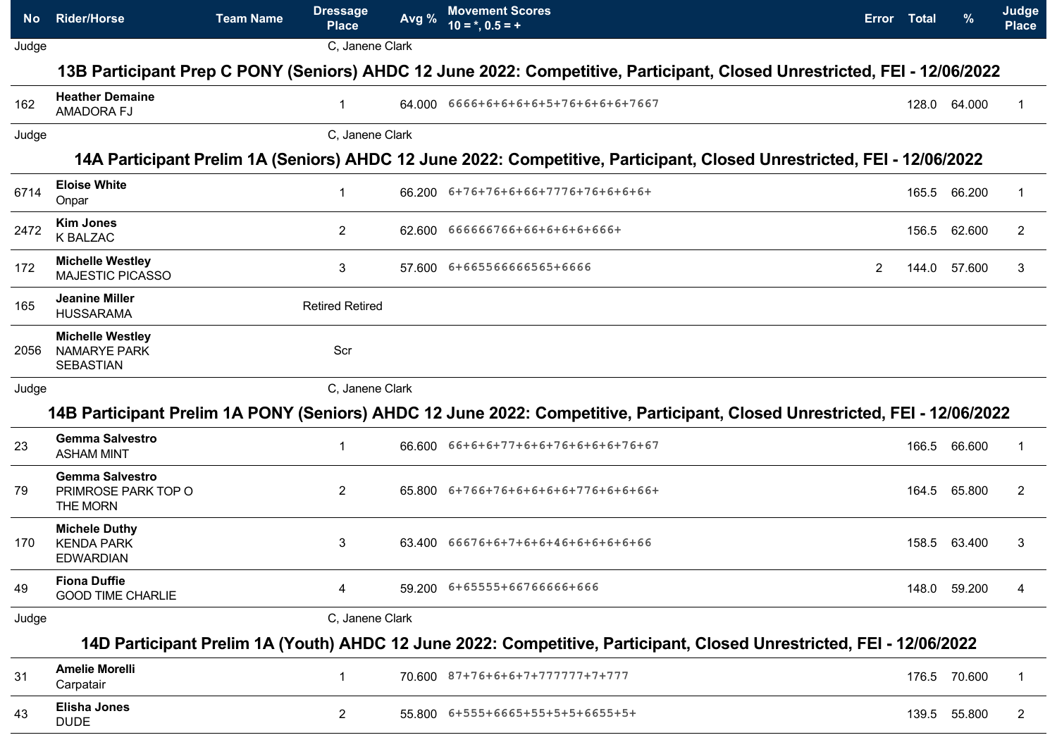| No.   | <b>Rider/Horse</b>                                                 | <b>Team Name</b> | <b>Dressage</b><br><b>Place</b> | Avg %    | <b>Movement Scores</b><br>$10 = *, 0.5 = +$                                                                                 |   | Error Total | $\%$         | Judge<br><b>Place</b> |
|-------|--------------------------------------------------------------------|------------------|---------------------------------|----------|-----------------------------------------------------------------------------------------------------------------------------|---|-------------|--------------|-----------------------|
| Judge |                                                                    |                  | C, Janene Clark                 |          |                                                                                                                             |   |             |              |                       |
|       |                                                                    |                  |                                 |          | 13B Participant Prep C PONY (Seniors) AHDC 12 June 2022: Competitive, Participant, Closed Unrestricted, FEI - 12/06/2022    |   |             |              |                       |
| 162   | <b>Heather Demaine</b><br>AMADORA FJ                               |                  |                                 | 64.000 - | 6666+6+6+6+6+5+76+6+6+6+7667                                                                                                |   | 128.0       | 64.000       |                       |
| Judge |                                                                    |                  | C. Janene Clark                 |          |                                                                                                                             |   |             |              |                       |
|       |                                                                    |                  |                                 |          | 14A Participant Prelim 1A (Seniors) AHDC 12 June 2022: Competitive, Participant, Closed Unrestricted, FEI - 12/06/2022      |   |             |              |                       |
| 6714  | <b>Eloise White</b><br>Onpar                                       |                  |                                 |          | 66.200 6+76+76+6+66+7776+76+6+6+6+                                                                                          |   | 165.5       | 66.200       |                       |
| 2472  | <b>Kim Jones</b><br><b>K BALZAC</b>                                |                  | $\mathbf{2}$                    |          | 62.600 666666766+66+6+6+6+666+                                                                                              |   | 156.5       | 62.600       | $\overline{2}$        |
| 172   | <b>Michelle Westley</b><br><b>MAJESTIC PICASSO</b>                 |                  | 3                               |          | 57.600 6+665566666565+6666                                                                                                  | 2 | 144.0       | 57.600       | 3                     |
| 165   | Jeanine Miller<br><b>HUSSARAMA</b>                                 |                  | <b>Retired Retired</b>          |          |                                                                                                                             |   |             |              |                       |
| 2056  | <b>Michelle Westley</b><br><b>NAMARYE PARK</b><br><b>SEBASTIAN</b> |                  | Scr                             |          |                                                                                                                             |   |             |              |                       |
| Judge |                                                                    |                  | C, Janene Clark                 |          |                                                                                                                             |   |             |              |                       |
|       |                                                                    |                  |                                 |          | 14B Participant Prelim 1A PONY (Seniors) AHDC 12 June 2022: Competitive, Participant, Closed Unrestricted, FEI - 12/06/2022 |   |             |              |                       |
| 23    | <b>Gemma Salvestro</b><br><b>ASHAM MINT</b>                        |                  |                                 |          | 66.600  66+6+6+77+6+6+76+6+6+6+76+67                                                                                        |   | 166.5       | 66.600       |                       |
| 79    | <b>Gemma Salvestro</b><br>PRIMROSE PARK TOP O<br>THE MORN          |                  | $\mathbf{2}$                    |          | 65.800 6+766+76+6+6+6+6+776+6+6+66+                                                                                         |   |             | 164.5 65.800 | 2                     |
| 170   | <b>Michele Duthy</b><br><b>KENDA PARK</b><br><b>EDWARDIAN</b>      |                  | 3                               |          | $63.400$ $66676+6+7+6+6+46+6+6+6+6+66$                                                                                      |   | 158.5       | 63.400       | 3                     |
| 49    | <b>Fiona Duffie</b><br><b>GOOD TIME CHARLIE</b>                    |                  | 4                               |          | 59.200 6+65555+66766666+666                                                                                                 |   |             | 148.0 59.200 | 4                     |
| Judge |                                                                    |                  | C, Janene Clark                 |          |                                                                                                                             |   |             |              |                       |
|       |                                                                    |                  |                                 |          | 14D Participant Prelim 1A (Youth) AHDC 12 June 2022: Competitive, Participant, Closed Unrestricted, FEI - 12/06/2022        |   |             |              |                       |
| 31    | <b>Amelie Morelli</b><br>Carpatair                                 |                  |                                 |          | 70.600 87+76+6+6+7+777777+7+777                                                                                             |   |             | 176.5 70.600 | $\mathbf{1}$          |
| 43    | <b>Elisha Jones</b><br><b>DUDE</b>                                 |                  | $\mathbf{2}$                    |          | 55.800 6+555+6665+55+5+5+6655+5+                                                                                            |   | 139.5       | 55.800       | $\overline{2}$        |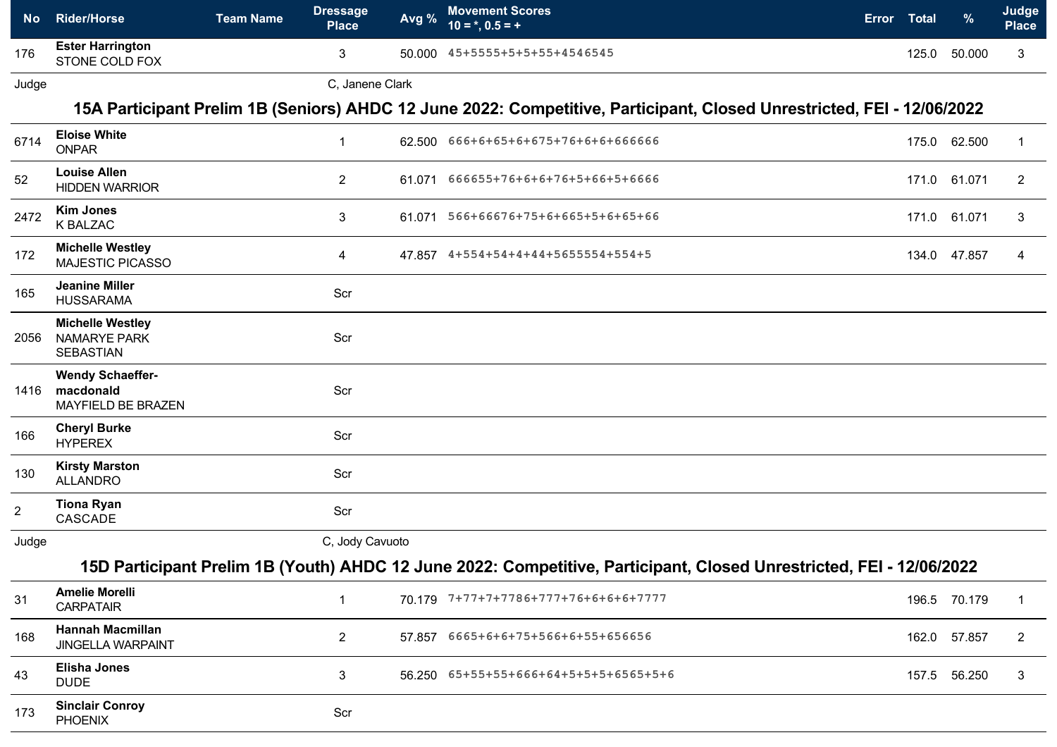| <b>No</b> | <b>Rider/Horse</b>                        | <b>Team Name</b> | Dressage<br><b>Place</b> | Avg %  | <b>Movement Scores</b><br>$10 =$ *, $0.5 = +$ | <b>Error</b> | Total | $\%$   | Judge<br>Place |
|-----------|-------------------------------------------|------------------|--------------------------|--------|-----------------------------------------------|--------------|-------|--------|----------------|
| 176       | <b>Ester Harrington</b><br>STONE COLD FOX |                  |                          | 50.000 | 45+5555+5+5+55+4546545                        |              | 125.0 | 50.000 |                |

Judge C, Janene Clark

## **15A Participant Prelim 1B (Seniors) AHDC 12 June 2022: Competitive, Participant, Closed Unrestricted, FEI - 12/06/2022**

| 6714           | <b>Eloise White</b><br><b>ONPAR</b>                                | $\mathbf{1}$    | 62.500 666+6+65+6+675+76+6+6+666666                                                                                  |       | 175.0 62.500 | $\mathbf 1$    |
|----------------|--------------------------------------------------------------------|-----------------|----------------------------------------------------------------------------------------------------------------------|-------|--------------|----------------|
| 52             | <b>Louise Allen</b><br><b>HIDDEN WARRIOR</b>                       | $\overline{2}$  | 61.071 666655+76+6+6+76+5+66+5+6666                                                                                  | 171.0 | 61.071       | $\overline{2}$ |
| 2472           | <b>Kim Jones</b><br><b>K BALZAC</b>                                | 3               | 61.071  566+66676+75+6+665+5+6+65+66                                                                                 |       | 171.0 61.071 | 3              |
| 172            | <b>Michelle Westley</b><br><b>MAJESTIC PICASSO</b>                 | 4               | 47.857 4+554+54+4+44+5655554+554+5                                                                                   | 134.0 | 47.857       | 4              |
| 165            | <b>Jeanine Miller</b><br><b>HUSSARAMA</b>                          | Scr             |                                                                                                                      |       |              |                |
| 2056           | <b>Michelle Westley</b><br><b>NAMARYE PARK</b><br><b>SEBASTIAN</b> | Scr             |                                                                                                                      |       |              |                |
| 1416           | <b>Wendy Schaeffer-</b><br>macdonald<br>MAYFIELD BE BRAZEN         | Scr             |                                                                                                                      |       |              |                |
| 166            | <b>Cheryl Burke</b><br><b>HYPEREX</b>                              | Scr             |                                                                                                                      |       |              |                |
| 130            | <b>Kirsty Marston</b><br><b>ALLANDRO</b>                           | Scr             |                                                                                                                      |       |              |                |
| $\overline{c}$ | <b>Tiona Ryan</b><br>CASCADE                                       | Scr             |                                                                                                                      |       |              |                |
| Judge          |                                                                    | C, Jody Cavuoto |                                                                                                                      |       |              |                |
|                |                                                                    |                 | 15D Participant Prelim 1B (Youth) AHDC 12 June 2022: Competitive, Participant, Closed Unrestricted, FEI - 12/06/2022 |       |              |                |
| 31             | <b>Amelie Morelli</b><br><b>CARPATAIR</b>                          | $\mathbf{1}$    | 70.179 7+77+7+7786+777+76+6+6+6+7777                                                                                 |       | 196.5 70.179 | $\mathbf 1$    |
| 168            | <b>Hannah Macmillan</b><br><b>JINGELLA WARPAINT</b>                | $\overline{2}$  | 57.857 6665+6+6+75+566+6+55+656656                                                                                   | 162.0 | 57.857       | $\overline{2}$ |
| 43             | <b>Elisha Jones</b><br><b>DUDE</b>                                 | 3               | 56.250  65+55+55+666+64+5+5+5+6565+5+6                                                                               |       | 157.5 56.250 | 3              |
| 173            | <b>Sinclair Conroy</b><br><b>PHOENIX</b>                           | Scr             |                                                                                                                      |       |              |                |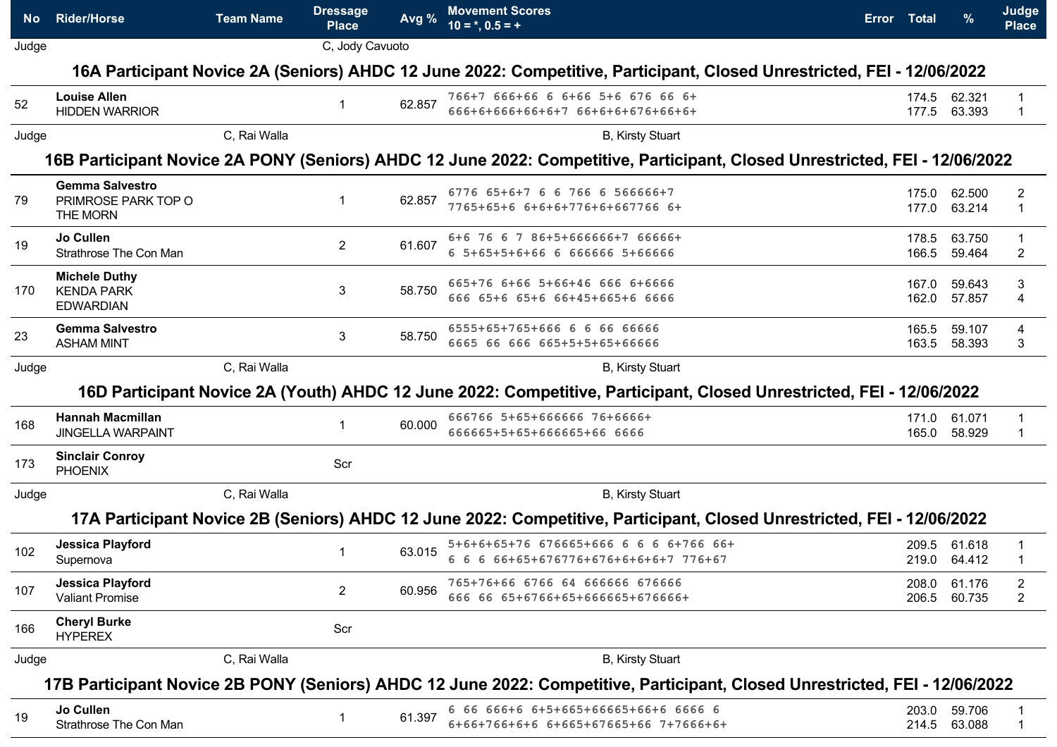| No l  | <b>Rider/Horse</b>                                               | <b>Team Name</b> | <b>Dressage</b><br><b>Place</b> | Avg %  | <b>Movement Scores</b><br>$10 = *, 0.5 = +$                                                                                 | Error Total    |                        | Judge<br><b>Place</b> |
|-------|------------------------------------------------------------------|------------------|---------------------------------|--------|-----------------------------------------------------------------------------------------------------------------------------|----------------|------------------------|-----------------------|
| Judge |                                                                  |                  | C, Jody Cavuoto                 |        |                                                                                                                             |                |                        |                       |
|       |                                                                  |                  |                                 |        | 16A Participant Novice 2A (Seniors) AHDC 12 June 2022: Competitive, Participant, Closed Unrestricted, FEI - 12/06/2022      |                |                        |                       |
| 52    | <b>Louise Allen</b><br><b>HIDDEN WARRIOR</b>                     |                  |                                 | 62.857 | 766+7 666+66 6 6+66 5+6 676 66 6+<br>666+6+666+66+6+7 66+6+6+676+66+6+                                                      | 174.5          | 62.321<br>177.5 63.393 |                       |
| Judge |                                                                  | C, Rai Walla     |                                 |        | B, Kirsty Stuart                                                                                                            |                |                        |                       |
|       |                                                                  |                  |                                 |        | 16B Participant Novice 2A PONY (Seniors) AHDC 12 June 2022: Competitive, Participant, Closed Unrestricted, FEI - 12/06/2022 |                |                        |                       |
| 79    | <b>Gemma Salvestro</b><br>PRIMROSE PARK TOP O<br><b>THE MORN</b> |                  | $\mathbf 1$                     | 62.857 | 6776 65+6+7 6 6 766 6 566666+7<br>7765+65+6 6+6+6+776+6+667766 6+                                                           | 175.0<br>177.0 | 62.500<br>63.214       | $\mathbf 1$           |
| 19    | Jo Cullen<br>Strathrose The Con Man                              |                  | $\mathbf{2}$                    | 61.607 | 6+6 76 6 7 86+5+666666+7 66666+<br>6 5+65+5+6+66 6 666666 5+66666                                                           | 178.5<br>166.5 | 63.750<br>59.464       | 2                     |
| 170   | <b>Michele Duthy</b><br><b>KENDA PARK</b><br><b>EDWARDIAN</b>    |                  | 3                               | 58.750 | 665+76 6+66 5+66+46 666 6+6666<br>666 65+6 65+6 66+45+665+6 6666                                                            | 167.0<br>162.0 | 59.643<br>57.857       | 3<br>4                |
| 23    | <b>Gemma Salvestro</b><br><b>ASHAM MINT</b>                      |                  | 3                               | 58.750 | 6555+65+765+666 6 6 66 66666<br>6665 66 666 665+5+5+65+66666                                                                | 165.5<br>163.5 | 59.107<br>58.393       | 4<br>3                |
| Judge |                                                                  | C, Rai Walla     |                                 |        | <b>B, Kirsty Stuart</b>                                                                                                     |                |                        |                       |
|       |                                                                  |                  |                                 |        | 16D Participant Novice 2A (Youth) AHDC 12 June 2022: Competitive, Participant, Closed Unrestricted, FEI - 12/06/2022        |                |                        |                       |
| 168   | <b>Hannah Macmillan</b><br><b>JINGELLA WARPAINT</b>              |                  |                                 | 60.000 | 666766 5+65+666666 76+6666+<br>666665+5+65+666665+66 6666                                                                   | 171.0<br>165.0 | 61.071<br>58.929       |                       |
| 173   | <b>Sinclair Conroy</b><br><b>PHOENIX</b>                         |                  | Scr                             |        |                                                                                                                             |                |                        |                       |
| Judge |                                                                  | C, Rai Walla     |                                 |        | B, Kirsty Stuart                                                                                                            |                |                        |                       |
|       |                                                                  |                  |                                 |        | 17A Participant Novice 2B (Seniors) AHDC 12 June 2022: Competitive, Participant, Closed Unrestricted, FEI - 12/06/2022      |                |                        |                       |
| 102   | <b>Jessica Playford</b><br>Supernova                             |                  |                                 | 63.015 | 5+6+6+65+76 676665+666 6 6 6 6+766 66+<br>6 6 6 66+65+676776+676+6+6+6+7 776+67                                             | 209.5          | 61.618<br>219.0 64.412 |                       |
| 107   | <b>Jessica Playford</b><br><b>Valiant Promise</b>                |                  | $\overline{2}$                  | 60.956 | 765+76+66 6766 64 666666 676666<br>666 66 65+6766+65+666665+676666+                                                         | 208.0<br>206.5 | 61.176<br>60.735       | 2<br>$\overline{2}$   |
| 166   | <b>Cheryl Burke</b><br><b>HYPEREX</b>                            |                  | Scr                             |        |                                                                                                                             |                |                        |                       |
| Judge |                                                                  | C, Rai Walla     |                                 |        | B, Kirsty Stuart                                                                                                            |                |                        |                       |
|       |                                                                  |                  |                                 |        | 17B Participant Novice 2B PONY (Seniors) AHDC 12 June 2022: Competitive, Participant, Closed Unrestricted, FEI - 12/06/2022 |                |                        |                       |
| 19    | Jo Cullen<br>Strathrose The Con Man                              |                  |                                 | 61.397 | 6 66 666+6 6+5+665+66665+66+6 6666 6<br>6+66+766+6+6 6+665+67665+66 7+7666+6+                                               | 203.0<br>214.5 | 59.706<br>63.088       |                       |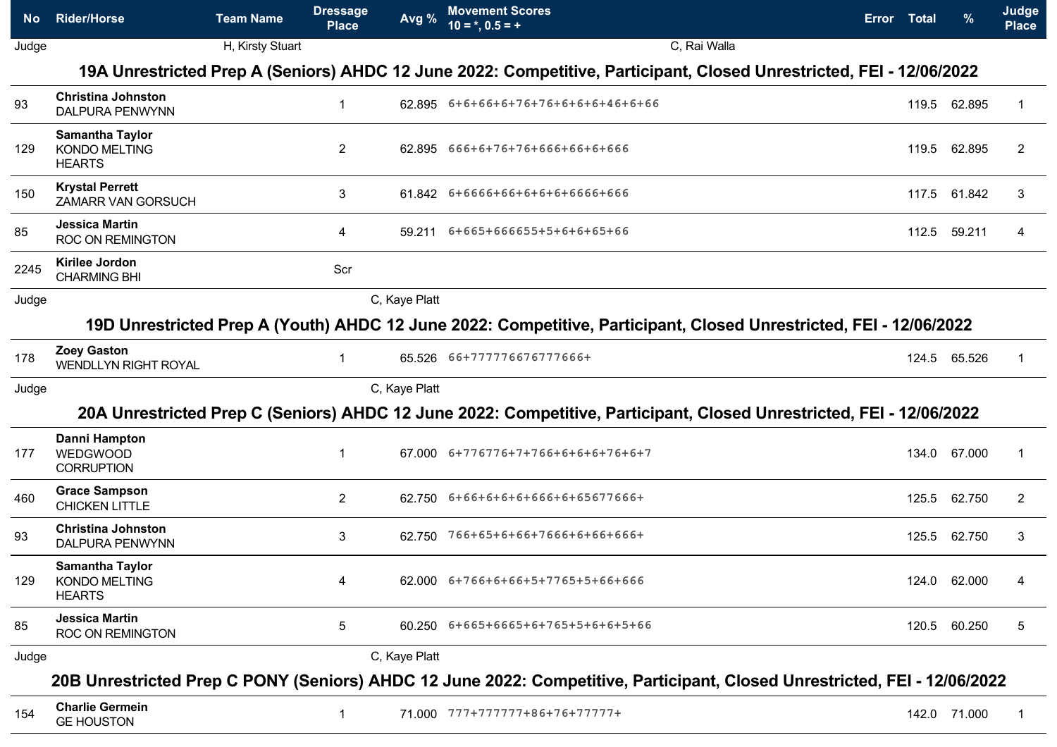| No.   | <b>Rider/Horse</b>                                              | <b>Team Name</b> | <b>Dressage</b><br><b>Place</b> | Avg %         | <b>Movement Scores</b><br>$10 = *, 0.5 = +$                                                                               | Error Total | $\%$         | <b>Judge</b><br><b>Place</b> |
|-------|-----------------------------------------------------------------|------------------|---------------------------------|---------------|---------------------------------------------------------------------------------------------------------------------------|-------------|--------------|------------------------------|
| Judge |                                                                 | H, Kirsty Stuart |                                 |               | C, Rai Walla                                                                                                              |             |              |                              |
|       |                                                                 |                  |                                 |               | 19A Unrestricted Prep A (Seniors) AHDC 12 June 2022: Competitive, Participant, Closed Unrestricted, FEI - 12/06/2022      |             |              |                              |
| 93    | <b>Christina Johnston</b><br><b>DALPURA PENWYNN</b>             |                  |                                 |               | 62.895 6+6+66+6+76+76+6+6+6+46+6+66                                                                                       |             | 119.5 62.895 | -1                           |
| 129   | <b>Samantha Taylor</b><br><b>KONDO MELTING</b><br><b>HEARTS</b> |                  | $\overline{2}$                  |               | 62.895 666+6+76+76+666+66+6+666                                                                                           | 119.5       | 62.895       | 2                            |
| 150   | <b>Krystal Perrett</b><br>ZAMARR VAN GORSUCH                    |                  | 3                               |               | 61.842 6+6666+66+6+6+6+6666+666                                                                                           | 117.5       | 61.842       | 3                            |
| 85    | <b>Jessica Martin</b><br>ROC ON REMINGTON                       |                  | 4                               | 59.211        | 6+665+666655+5+6+6+65+66                                                                                                  | 112.5       | 59.211       | 4                            |
| 2245  | Kirilee Jordon<br><b>CHARMING BHI</b>                           |                  | Scr                             |               |                                                                                                                           |             |              |                              |
| Judge |                                                                 |                  |                                 | C, Kaye Platt |                                                                                                                           |             |              |                              |
|       |                                                                 |                  |                                 |               | 19D Unrestricted Prep A (Youth) AHDC 12 June 2022: Competitive, Participant, Closed Unrestricted, FEI - 12/06/2022        |             |              |                              |
| 178   | <b>Zoey Gaston</b><br><b>WENDLLYN RIGHT ROYAL</b>               |                  |                                 |               | 65.526 66+777776676777666+                                                                                                |             | 124.5 65.526 | -1                           |
| Judge |                                                                 |                  |                                 | C, Kaye Platt |                                                                                                                           |             |              |                              |
|       |                                                                 |                  |                                 |               | 20A Unrestricted Prep C (Seniors) AHDC 12 June 2022: Competitive, Participant, Closed Unrestricted, FEI - 12/06/2022      |             |              |                              |
| 177   | Danni Hampton<br>WEDGWOOD<br><b>CORRUPTION</b>                  |                  |                                 |               | $67.000$ $6+776776+7+766+6+6+6+76+6+7$                                                                                    | 134.0       | 67.000       | 1                            |
| 460   | <b>Grace Sampson</b><br><b>CHICKEN LITTLE</b>                   |                  | $\mathbf{2}$                    |               | 62.750 6+66+6+6+6+666+6+65677666+                                                                                         | 125.5       | 62.750       | 2                            |
| 93    | <b>Christina Johnston</b><br><b>DALPURA PENWYNN</b>             |                  | 3                               | 62.750        | 766+65+6+66+7666+6+66+666+                                                                                                |             | 125.5 62.750 | 3                            |
| 129   | <b>Samantha Taylor</b><br><b>KONDO MELTING</b><br><b>HEARTS</b> |                  | 4                               |               | 62.000 6+766+6+66+5+7765+5+66+666                                                                                         |             | 124.0 62.000 | 4                            |
| 85    | <b>Jessica Martin</b><br><b>ROC ON REMINGTON</b>                |                  | 5                               |               | 60.250 6+665+6665+6+765+5+6+6+5+66                                                                                        |             | 120.5 60.250 | 5                            |
| Judge |                                                                 |                  |                                 | C, Kaye Platt |                                                                                                                           |             |              |                              |
|       |                                                                 |                  |                                 |               | 20B Unrestricted Prep C PONY (Seniors) AHDC 12 June 2022: Competitive, Participant, Closed Unrestricted, FEI - 12/06/2022 |             |              |                              |
| 154   | <b>Charlie Germein</b><br><b>GE HOUSTON</b>                     |                  |                                 |               | 71.000 777+777777+86+76+77777+                                                                                            |             | 142.0 71.000 |                              |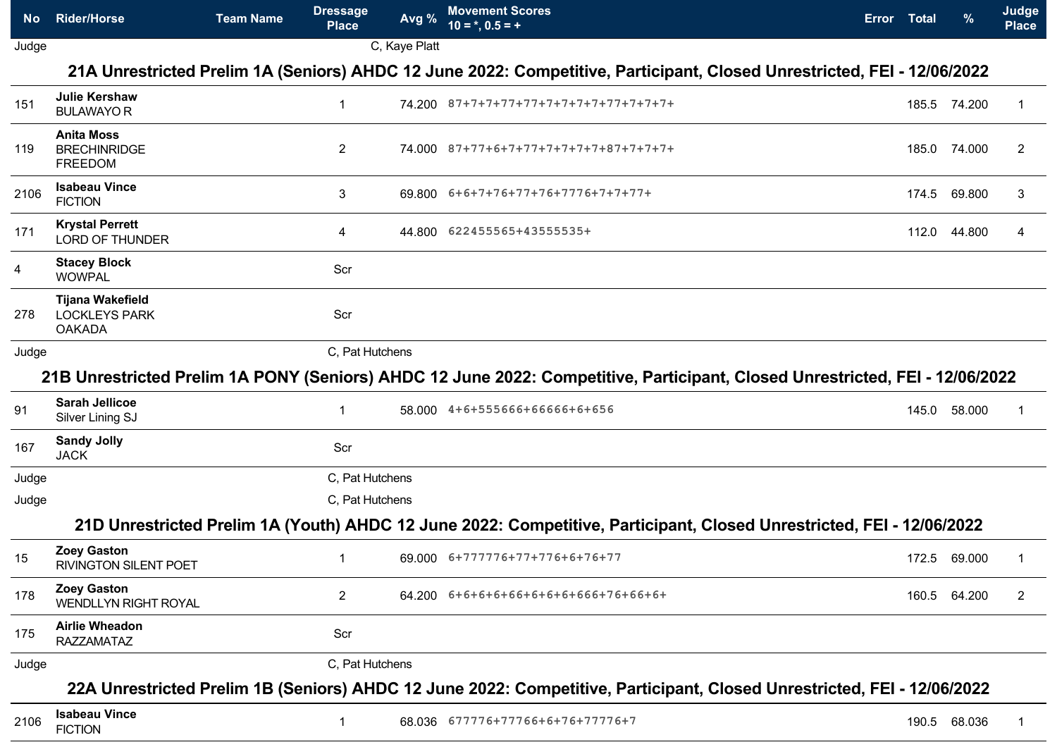| No.   | <b>Rider/Horse</b>                                               | <b>Team Name</b> | <b>Dressage</b><br><b>Place</b> | Avg %         | <b>Movement Scores</b><br>$10 = *, 0.5 = +$                                                                                  | Error Total | $\%$         | Judge<br><b>Place</b> |
|-------|------------------------------------------------------------------|------------------|---------------------------------|---------------|------------------------------------------------------------------------------------------------------------------------------|-------------|--------------|-----------------------|
| Judge |                                                                  |                  |                                 | C, Kaye Platt |                                                                                                                              |             |              |                       |
|       |                                                                  |                  |                                 |               | 21A Unrestricted Prelim 1A (Seniors) AHDC 12 June 2022: Competitive, Participant, Closed Unrestricted, FEI - 12/06/2022      |             |              |                       |
| 151   | <b>Julie Kershaw</b><br><b>BULAWAYOR</b>                         |                  | 1                               |               | 74.200 87+7+7+77+77+7+7+7+7+77+7+7+7+7+                                                                                      |             | 185.5 74.200 |                       |
| 119   | <b>Anita Moss</b><br><b>BRECHINRIDGE</b><br><b>FREEDOM</b>       |                  | $\mathbf{2}$                    |               | 74.000 87+77+6+7+77+7+7+7+7+87+7+7+7+                                                                                        | 185.0       | 74.000       | 2                     |
| 2106  | <b>Isabeau Vince</b><br><b>FICTION</b>                           |                  | 3                               |               | 69.800 6+6+7+76+77+76+7776+7+7+77+                                                                                           | 174.5       | 69.800       | 3                     |
| 171   | <b>Krystal Perrett</b><br><b>LORD OF THUNDER</b>                 |                  | 4                               |               | 44.800 622455565+43555535+                                                                                                   | 112.0       | 44.800       | 4                     |
| 4     | <b>Stacey Block</b><br><b>WOWPAL</b>                             |                  | Scr                             |               |                                                                                                                              |             |              |                       |
| 278   | <b>Tijana Wakefield</b><br><b>LOCKLEYS PARK</b><br><b>OAKADA</b> |                  | Scr                             |               |                                                                                                                              |             |              |                       |
| Judge |                                                                  |                  | C, Pat Hutchens                 |               |                                                                                                                              |             |              |                       |
|       |                                                                  |                  |                                 |               | 21B Unrestricted Prelim 1A PONY (Seniors) AHDC 12 June 2022: Competitive, Participant, Closed Unrestricted, FEI - 12/06/2022 |             |              |                       |
| 91    | <b>Sarah Jellicoe</b><br>Silver Lining SJ                        |                  | $\mathbf 1$                     |               | 58.000 4+6+555666+66666+6+656                                                                                                |             | 145.0 58.000 |                       |
| 167   | <b>Sandy Jolly</b><br><b>JACK</b>                                |                  | Scr                             |               |                                                                                                                              |             |              |                       |
| Judge |                                                                  |                  | C, Pat Hutchens                 |               |                                                                                                                              |             |              |                       |
| Judge |                                                                  |                  | C, Pat Hutchens                 |               |                                                                                                                              |             |              |                       |
|       |                                                                  |                  |                                 |               | 21D Unrestricted Prelim 1A (Youth) AHDC 12 June 2022: Competitive, Participant, Closed Unrestricted, FEI - 12/06/2022        |             |              |                       |
| 15    | <b>Zoey Gaston</b><br>RIVINGTON SILENT POET                      |                  |                                 |               | 69.000 6+777776+77+776+6+76+77                                                                                               |             | 172.5 69.000 |                       |
| 178   | <b>Zoey Gaston</b><br><b>WENDLLYN RIGHT ROYAL</b>                |                  | $\overline{2}$                  |               | 64.200 6+6+6+6+66+6+6+6+666+76+66+6+                                                                                         |             | 160.5 64.200 | 2                     |
| 175   | <b>Airlie Wheadon</b><br><b>RAZZAMATAZ</b>                       |                  | Scr                             |               |                                                                                                                              |             |              |                       |
| Judge |                                                                  |                  | C, Pat Hutchens                 |               |                                                                                                                              |             |              |                       |
|       |                                                                  |                  |                                 |               | 22A Unrestricted Prelim 1B (Seniors) AHDC 12 June 2022: Competitive, Participant, Closed Unrestricted, FEI - 12/06/2022      |             |              |                       |
| 2106  | <b>Isabeau Vince</b><br><b>FICTION</b>                           |                  | 1                               |               | 68.036 677776+77766+6+76+77776+7                                                                                             |             | 190.5 68.036 |                       |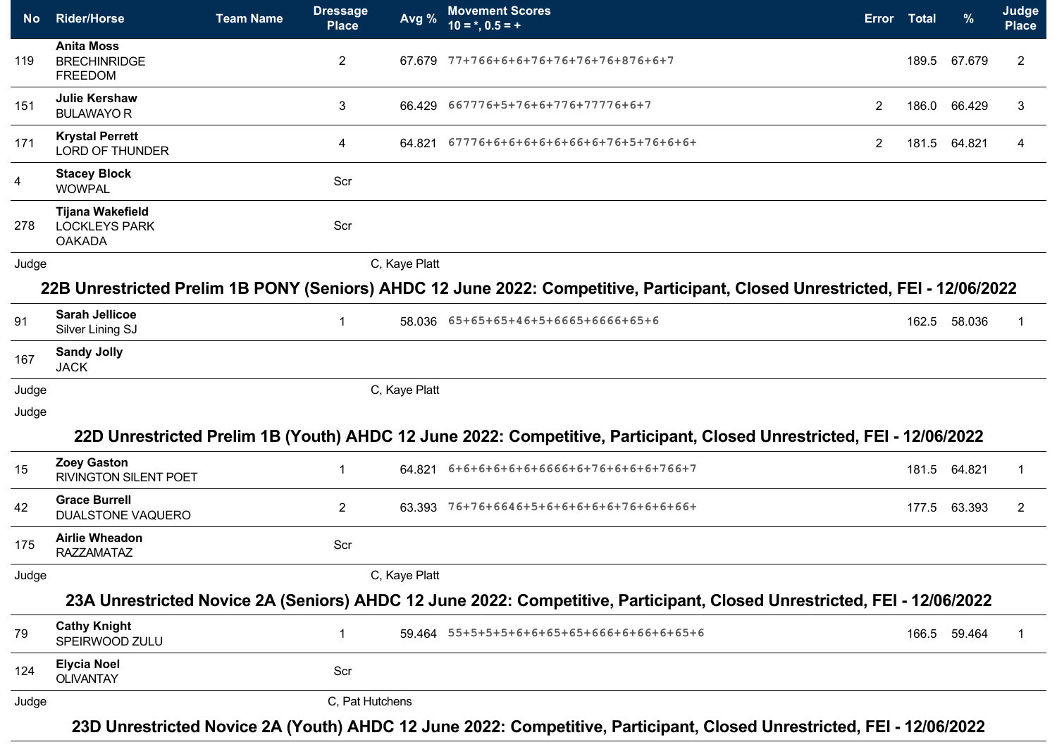| No.            | <b>Rider/Horse</b>                                        | <b>Team Name</b> | <b>Dressage</b><br><b>Place</b> | Avg %         | <b>Movement Scores</b><br>$10 = *, 0.5 = +$                                                                                  |                       | Error Total | $\frac{9}{6}$ | Judge<br><b>Place</b> |
|----------------|-----------------------------------------------------------|------------------|---------------------------------|---------------|------------------------------------------------------------------------------------------------------------------------------|-----------------------|-------------|---------------|-----------------------|
| 119            | <b>Anita Moss</b><br><b>BRECHINRIDGE</b><br>FREEDOM       |                  | $\overline{2}$                  |               | 67.679 77+766+6+6+76+76+76+76+876+6+7                                                                                        |                       | 189.5       | 67.679        | $\overline{c}$        |
| 151            | <b>Julie Kershaw</b><br><b>BULAWAYO R</b>                 |                  | 3                               |               | 66.429 667776+5+76+6+776+77776+6+7                                                                                           | $\overline{2}$        | 186.0       | 66.429        | 3                     |
| 171            | <b>Krystal Perrett</b><br><b>LORD OF THUNDER</b>          |                  | 4                               | 64.821        | 67776+6+6+6+6+6+66+6+76+5+76+6+6+                                                                                            | $\mathbf{2}^{\prime}$ | 181.5       | 64.821        | 4                     |
| $\overline{4}$ | <b>Stacey Block</b><br><b>WOWPAL</b>                      |                  | Scr                             |               |                                                                                                                              |                       |             |               |                       |
| 278            | Tijana Wakefield<br><b>LOCKLEYS PARK</b><br><b>OAKADA</b> |                  | Scr                             |               |                                                                                                                              |                       |             |               |                       |
| Judge          |                                                           |                  |                                 | C, Kaye Platt |                                                                                                                              |                       |             |               |                       |
|                |                                                           |                  |                                 |               | 22B Unrestricted Prelim 1B PONY (Seniors) AHDC 12 June 2022: Competitive, Participant, Closed Unrestricted, FEI - 12/06/2022 |                       |             |               |                       |
| 91             | <b>Sarah Jellicoe</b><br>Silver Lining SJ                 |                  | $\overline{1}$                  |               | 58.036 65+65+65+46+5+6665+6666+65+6                                                                                          |                       | 162.5       | 58.036        |                       |
| 167            | <b>Sandy Jolly</b><br><b>JACK</b>                         |                  |                                 |               |                                                                                                                              |                       |             |               |                       |
| Judge          |                                                           |                  |                                 | C, Kaye Platt |                                                                                                                              |                       |             |               |                       |
| Judge          |                                                           |                  |                                 |               | 22D Unrestricted Prelim 1B (Youth) AHDC 12 June 2022: Competitive, Participant, Closed Unrestricted, FEI - 12/06/2022        |                       |             |               |                       |
| 15             | <b>Zoey Gaston</b><br><b>RIVINGTON SILENT POET</b>        |                  | -1                              |               | 64.821 6+6+6+6+6+6+6666+6+76+6+6+6+766+7                                                                                     |                       | 181.5       | 64.821        | -1                    |
| 42             | <b>Grace Burrell</b><br><b>DUALSTONE VAQUERO</b>          |                  | $\overline{2}$                  |               | 63.393 76+76+6646+5+6+6+6+6+6+76+6+6+66+                                                                                     |                       | 177.5       | 63.393        | 2                     |
| 175            | <b>Airlie Wheadon</b><br><b>RAZZAMATAZ</b>                |                  | Scr                             |               |                                                                                                                              |                       |             |               |                       |
| Judge          |                                                           |                  |                                 | C, Kaye Platt |                                                                                                                              |                       |             |               |                       |
|                |                                                           |                  |                                 |               | 23A Unrestricted Novice 2A (Seniors) AHDC 12 June 2022: Competitive, Participant, Closed Unrestricted, FEI - 12/06/2022      |                       |             |               |                       |
| 79             | <b>Cathy Knight</b><br>SPEIRWOOD ZULU                     |                  | $\mathbf{1}$                    |               | 59.464  55+5+5+5+6+6+65+65+666+6+66+6+65+6                                                                                   |                       |             | 166.5 59.464  | 1                     |
| 124            | <b>Elycia Noel</b><br><b>OLIVANTAY</b>                    |                  | Scr                             |               |                                                                                                                              |                       |             |               |                       |
| Judge          |                                                           |                  | C, Pat Hutchens                 |               |                                                                                                                              |                       |             |               |                       |
|                |                                                           |                  |                                 |               | 23D Unrestricted Novice 2A (Youth) AHDC 12 June 2022: Competitive, Participant, Closed Unrestricted, FEI - 12/06/2022        |                       |             |               |                       |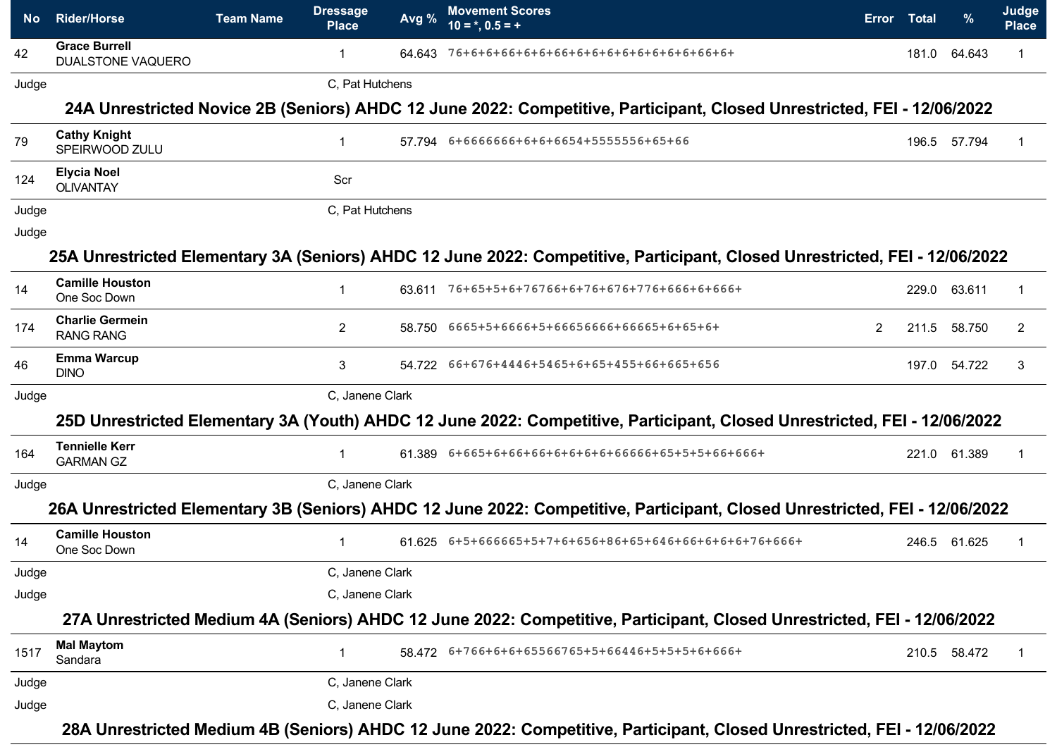| 42    | <b>Grace Burrell</b>                       |                 |        | $\overline{10} = *, 0.5 = +$                                                                                                |                |       | %            | <b>Place</b> |
|-------|--------------------------------------------|-----------------|--------|-----------------------------------------------------------------------------------------------------------------------------|----------------|-------|--------------|--------------|
|       | DUALSTONE VAQUERO                          | $\mathbf 1$     | 64.643 | 76+6+6+66+6+6+66+6+6+6+6+6+6+6+6+66+6+                                                                                      |                | 181.0 | 64.643       | -1           |
| Judge |                                            | C, Pat Hutchens |        |                                                                                                                             |                |       |              |              |
|       |                                            |                 |        | 24A Unrestricted Novice 2B (Seniors) AHDC 12 June 2022: Competitive, Participant, Closed Unrestricted, FEI - 12/06/2022     |                |       |              |              |
| 79    | <b>Cathy Knight</b><br>SPEIRWOOD ZULU      | $\mathbf{1}$    |        | 57.794 6+6666666+6+6+6654+5555556+65+66                                                                                     |                | 196.5 | 57.794       | -1           |
| 124   | <b>Elycia Noel</b><br><b>OLIVANTAY</b>     | Scr             |        |                                                                                                                             |                |       |              |              |
| Judge |                                            | C, Pat Hutchens |        |                                                                                                                             |                |       |              |              |
| Judge |                                            |                 |        |                                                                                                                             |                |       |              |              |
|       |                                            |                 |        | 25A Unrestricted Elementary 3A (Seniors) AHDC 12 June 2022: Competitive, Participant, Closed Unrestricted, FEI - 12/06/2022 |                |       |              |              |
| 14    | <b>Camille Houston</b><br>One Soc Down     | 1               |        | 63.611 76+65+5+6+76766+6+76+676+776+666+6+666+                                                                              |                | 229.0 | 63.611       | -1           |
| 174   | <b>Charlie Germein</b><br><b>RANG RANG</b> | $\overline{2}$  |        | 58.750    6665+5+6666+5+66656666+66665+6+65+6+                                                                              | $\overline{2}$ | 211.5 | 58.750       | 2            |
| 46    | <b>Emma Warcup</b><br><b>DINO</b>          | 3               |        | 54.722   66+676+4446+5465+6+65+455+66+665+656                                                                               |                |       | 197.0 54.722 | 3            |
| Judge |                                            | C. Janene Clark |        |                                                                                                                             |                |       |              |              |
|       |                                            |                 |        | 25D Unrestricted Elementary 3A (Youth) AHDC 12 June 2022: Competitive, Participant, Closed Unrestricted, FEI - 12/06/2022   |                |       |              |              |
| 164   | <b>Tennielle Kerr</b><br><b>GARMAN GZ</b>  | $\mathbf{1}$    |        |                                                                                                                             |                |       | 221.0 61.389 | -1           |
| Judge |                                            | C, Janene Clark |        |                                                                                                                             |                |       |              |              |
|       |                                            |                 |        | 26A Unrestricted Elementary 3B (Seniors) AHDC 12 June 2022: Competitive, Participant, Closed Unrestricted, FEI - 12/06/2022 |                |       |              |              |
| 14    | <b>Camille Houston</b><br>One Soc Down     | $\mathbf 1$     |        | 61.625 6+5+666665+5+7+6+656+86+65+646+66+6+6+6+76+666+                                                                      |                |       | 246.5 61.625 |              |
| Judge |                                            | C, Janene Clark |        |                                                                                                                             |                |       |              |              |
| Judge |                                            | C, Janene Clark |        |                                                                                                                             |                |       |              |              |
|       |                                            |                 |        | 27A Unrestricted Medium 4A (Seniors) AHDC 12 June 2022: Competitive, Participant, Closed Unrestricted, FEI - 12/06/2022     |                |       |              |              |
| 1517  | <b>Mal Maytom</b><br>Sandara               |                 |        | 58.472  6+766+6+6+65566765+5+66446+5+5+5+6+666+                                                                             |                |       | 210.5 58.472 |              |
| Judge |                                            | C, Janene Clark |        |                                                                                                                             |                |       |              |              |
| Judge |                                            | C, Janene Clark |        |                                                                                                                             |                |       |              |              |

**28A Unrestricted Medium 4B (Seniors) AHDC 12 June 2022: Competitive, Participant, Closed Unrestricted, FEI - 12/06/2022**